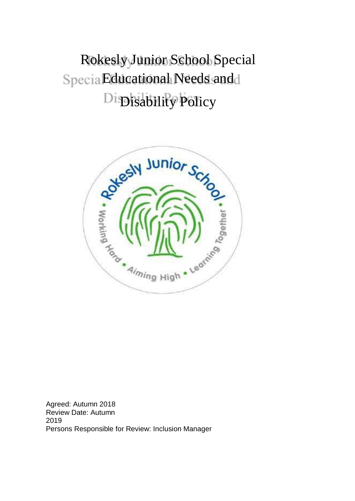Rokesly Junior School Special Specia Educational Needs and d Di<br/>**Disability Policy** 



Agreed: Autumn 2018 Review Date: Autumn 2019 Persons Responsible for Review: Inclusion Manager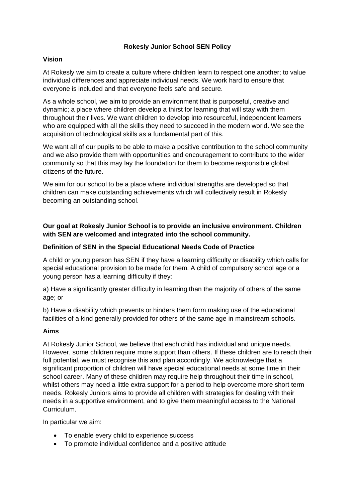## **Rokesly Junior School SEN Policy**

## **Vision**

At Rokesly we aim to create a culture where children learn to respect one another; to value individual differences and appreciate individual needs. We work hard to ensure that everyone is included and that everyone feels safe and secure.

As a whole school, we aim to provide an environment that is purposeful, creative and dynamic; a place where children develop a thirst for learning that will stay with them throughout their lives. We want children to develop into resourceful, independent learners who are equipped with all the skills they need to succeed in the modern world. We see the acquisition of technological skills as a fundamental part of this.

We want all of our pupils to be able to make a positive contribution to the school community and we also provide them with opportunities and encouragement to contribute to the wider community so that this may lay the foundation for them to become responsible global citizens of the future.

We aim for our school to be a place where individual strengths are developed so that children can make outstanding achievements which will collectively result in Rokesly becoming an outstanding school.

# **Our goal at Rokesly Junior School is to provide an inclusive environment. Children with SEN are welcomed and integrated into the school community.**

## **Definition of SEN in the Special Educational Needs Code of Practice**

A child or young person has SEN if they have a learning difficulty or disability which calls for special educational provision to be made for them. A child of compulsory school age or a young person has a learning difficulty if they:

a) Have a significantly greater difficulty in learning than the majority of others of the same age; or

b) Have a disability which prevents or hinders them form making use of the educational facilities of a kind generally provided for others of the same age in mainstream schools.

### **Aims**

At Rokesly Junior School, we believe that each child has individual and unique needs. However, some children require more support than others. If these children are to reach their full potential, we must recognise this and plan accordingly. We acknowledge that a significant proportion of children will have special educational needs at some time in their school career. Many of these children may require help throughout their time in school, whilst others may need a little extra support for a period to help overcome more short term needs. Rokesly Juniors aims to provide all children with strategies for dealing with their needs in a supportive environment, and to give them meaningful access to the National Curriculum.

In particular we aim:

- To enable every child to experience success
- To promote individual confidence and a positive attitude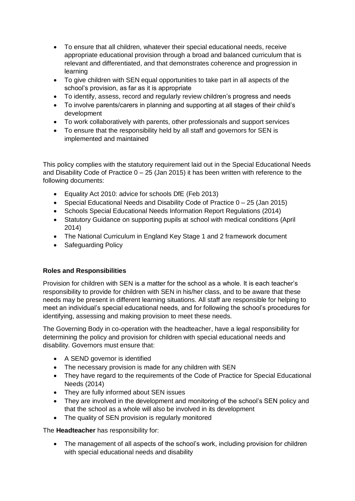- To ensure that all children, whatever their special educational needs, receive appropriate educational provision through a broad and balanced curriculum that is relevant and differentiated, and that demonstrates coherence and progression in learning
- To give children with SEN equal opportunities to take part in all aspects of the school's provision, as far as it is appropriate
- To identify, assess, record and regularly review children's progress and needs
- To involve parents/carers in planning and supporting at all stages of their child's development
- To work collaboratively with parents, other professionals and support services
- To ensure that the responsibility held by all staff and governors for SEN is implemented and maintained

This policy complies with the statutory requirement laid out in the Special Educational Needs and Disability Code of Practice  $0 - 25$  (Jan 2015) it has been written with reference to the following documents:

- Equality Act 2010: advice for schools DfE (Feb 2013)
- Special Educational Needs and Disability Code of Practice  $0 25$  (Jan 2015)
- Schools Special Educational Needs Information Report Regulations (2014)
- Statutory Guidance on supporting pupils at school with medical conditions (April 2014)
- The National Curriculum in England Key Stage 1 and 2 framework document
- Safeguarding Policy

# **Roles and Responsibilities**

Provision for children with SEN is a matter for the school as a whole. It is each teacher's responsibility to provide for children with SEN in his/her class, and to be aware that these needs may be present in different learning situations. All staff are responsible for helping to meet an individual's special educational needs, and for following the school's procedures for identifying, assessing and making provision to meet these needs.

The Governing Body in co-operation with the headteacher, have a legal responsibility for determining the policy and provision for children with special educational needs and disability. Governors must ensure that:

- A SEND governor is identified
- The necessary provision is made for any children with SEN
- They have regard to the requirements of the Code of Practice for Special Educational Needs (2014)
- They are fully informed about SEN issues
- They are involved in the development and monitoring of the school's SEN policy and that the school as a whole will also be involved in its development
- The quality of SEN provision is regularly monitored

The **Headteacher** has responsibility for:

• The management of all aspects of the school's work, including provision for children with special educational needs and disability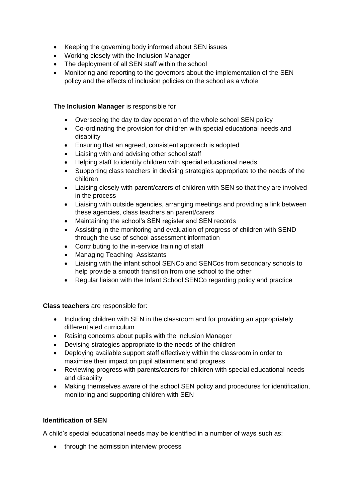- Keeping the governing body informed about SEN issues
- Working closely with the Inclusion Manager
- The deployment of all SEN staff within the school
- Monitoring and reporting to the governors about the implementation of the SEN policy and the effects of inclusion policies on the school as a whole

# The **Inclusion Manager** is responsible for

- Overseeing the day to day operation of the whole school SEN policy
- Co-ordinating the provision for children with special educational needs and disability
- Ensuring that an agreed, consistent approach is adopted
- Liaising with and advising other school staff
- Helping staff to identify children with special educational needs
- Supporting class teachers in devising strategies appropriate to the needs of the children
- Liaising closely with parent/carers of children with SEN so that they are involved in the process
- Liaising with outside agencies, arranging meetings and providing a link between these agencies, class teachers an parent/carers
- Maintaining the school's SEN register and SEN records
- Assisting in the monitoring and evaluation of progress of children with SEND through the use of school assessment information
- Contributing to the in-service training of staff
- Managing Teaching Assistants
- Liaising with the infant school SENCo and SENCos from secondary schools to help provide a smooth transition from one school to the other
- Regular liaison with the Infant School SENCo regarding policy and practice

### **Class teachers** are responsible for:

- Including children with SEN in the classroom and for providing an appropriately differentiated curriculum
- Raising concerns about pupils with the Inclusion Manager
- Devising strategies appropriate to the needs of the children
- Deploying available support staff effectively within the classroom in order to maximise their impact on pupil attainment and progress
- Reviewing progress with parents/carers for children with special educational needs and disability
- Making themselves aware of the school SEN policy and procedures for identification, monitoring and supporting children with SEN

# **Identification of SEN**

A child's special educational needs may be identified in a number of ways such as:

• through the admission interview process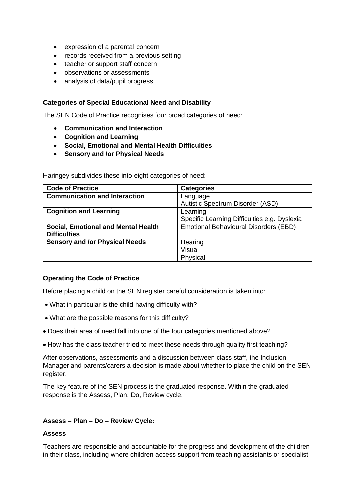- expression of a parental concern
- records received from a previous setting
- teacher or support staff concern
- observations or assessments
- analysis of data/pupil progress

#### **Categories of Special Educational Need and Disability**

The SEN Code of Practice recognises four broad categories of need:

- **Communication and Interaction**
- **Cognition and Learning**
- **Social, Emotional and Mental Health Difficulties**
- **Sensory and /or Physical Needs**

Haringey subdivides these into eight categories of need:

| <b>Code of Practice</b>               | <b>Categories</b>                            |
|---------------------------------------|----------------------------------------------|
| <b>Communication and Interaction</b>  | Language                                     |
|                                       | Autistic Spectrum Disorder (ASD)             |
| <b>Cognition and Learning</b>         | Learning                                     |
|                                       | Specific Learning Difficulties e.g. Dyslexia |
| Social, Emotional and Mental Health   | <b>Emotional Behavioural Disorders (EBD)</b> |
| <b>Difficulties</b>                   |                                              |
| <b>Sensory and /or Physical Needs</b> | Hearing                                      |
|                                       | Visual                                       |
|                                       | Physical                                     |

#### **Operating the Code of Practice**

Before placing a child on the SEN register careful consideration is taken into:

- What in particular is the child having difficulty with?
- What are the possible reasons for this difficulty?
- Does their area of need fall into one of the four categories mentioned above?
- How has the class teacher tried to meet these needs through quality first teaching?

After observations, assessments and a discussion between class staff, the Inclusion Manager and parents/carers a decision is made about whether to place the child on the SEN register.

The key feature of the SEN process is the graduated response. Within the graduated response is the Assess, Plan, Do, Review cycle.

#### **Assess – Plan – Do – Review Cycle:**

#### **Assess**

Teachers are responsible and accountable for the progress and development of the children in their class, including where children access support from teaching assistants or specialist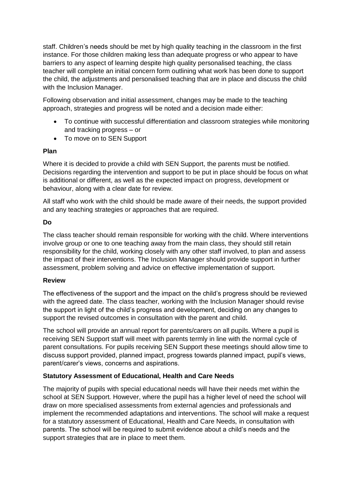staff. Children's needs should be met by high quality teaching in the classroom in the first instance. For those children making less than adequate progress or who appear to have barriers to any aspect of learning despite high quality personalised teaching, the class teacher will complete an initial concern form outlining what work has been done to support the child, the adjustments and personalised teaching that are in place and discuss the child with the Inclusion Manager.

Following observation and initial assessment, changes may be made to the teaching approach, strategies and progress will be noted and a decision made either:

- To continue with successful differentiation and classroom strategies while monitoring and tracking progress – or
- To move on to SEN Support

## **Plan**

Where it is decided to provide a child with SEN Support, the parents must be notified. Decisions regarding the intervention and support to be put in place should be focus on what is additional or different, as well as the expected impact on progress, development or behaviour, along with a clear date for review.

All staff who work with the child should be made aware of their needs, the support provided and any teaching strategies or approaches that are required.

## **Do**

The class teacher should remain responsible for working with the child. Where interventions involve group or one to one teaching away from the main class, they should still retain responsibility for the child, working closely with any other staff involved, to plan and assess the impact of their interventions. The Inclusion Manager should provide support in further assessment, problem solving and advice on effective implementation of support.

### **Review**

The effectiveness of the support and the impact on the child's progress should be reviewed with the agreed date. The class teacher, working with the Inclusion Manager should revise the support in light of the child's progress and development, deciding on any changes to support the revised outcomes in consultation with the parent and child.

The school will provide an annual report for parents/carers on all pupils. Where a pupil is receiving SEN Support staff will meet with parents termly in line with the normal cycle of parent consultations. For pupils receiving SEN Support these meetings should allow time to discuss support provided, planned impact, progress towards planned impact, pupil's views, parent/carer's views, concerns and aspirations.

# **Statutory Assessment of Educational, Health and Care Needs**

The majority of pupils with special educational needs will have their needs met within the school at SEN Support. However, where the pupil has a higher level of need the school will draw on more specialised assessments from external agencies and professionals and implement the recommended adaptations and interventions. The school will make a request for a statutory assessment of Educational, Health and Care Needs, in consultation with parents. The school will be required to submit evidence about a child's needs and the support strategies that are in place to meet them.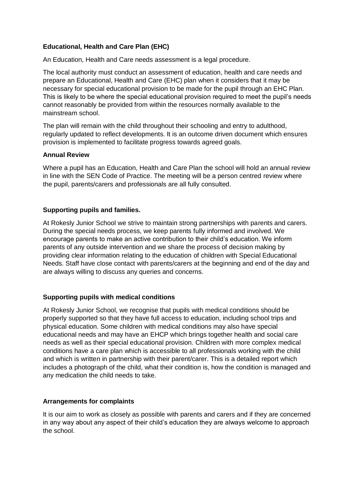## **Educational, Health and Care Plan (EHC)**

An Education, Health and Care needs assessment is a legal procedure.

The local authority must conduct an assessment of education, health and care needs and prepare an Educational, Health and Care (EHC) plan when it considers that it may be necessary for special educational provision to be made for the pupil through an EHC Plan. This is likely to be where the special educational provision required to meet the pupil's needs cannot reasonably be provided from within the resources normally available to the mainstream school.

The plan will remain with the child throughout their schooling and entry to adulthood, regularly updated to reflect developments. It is an outcome driven document which ensures provision is implemented to facilitate progress towards agreed goals.

#### **Annual Review**

Where a pupil has an Education, Health and Care Plan the school will hold an annual review in line with the SEN Code of Practice. The meeting will be a person centred review where the pupil, parents/carers and professionals are all fully consulted.

### **Supporting pupils and families.**

At Rokesly Junior School we strive to maintain strong partnerships with parents and carers. During the special needs process, we keep parents fully informed and involved. We encourage parents to make an active contribution to their child's education. We inform parents of any outside intervention and we share the process of decision making by providing clear information relating to the education of children with Special Educational Needs. Staff have close contact with parents/carers at the beginning and end of the day and are always willing to discuss any queries and concerns.

### **Supporting pupils with medical conditions**

At Rokesly Junior School, we recognise that pupils with medical conditions should be properly supported so that they have full access to education, including school trips and physical education. Some children with medical conditions may also have special educational needs and may have an EHCP which brings together health and social care needs as well as their special educational provision. Children with more complex medical conditions have a care plan which is accessible to all professionals working with the child and which is written in partnership with their parent/carer. This is a detailed report which includes a photograph of the child, what their condition is, how the condition is managed and any medication the child needs to take.

### **Arrangements for complaints**

It is our aim to work as closely as possible with parents and carers and if they are concerned in any way about any aspect of their child's education they are always welcome to approach the school.